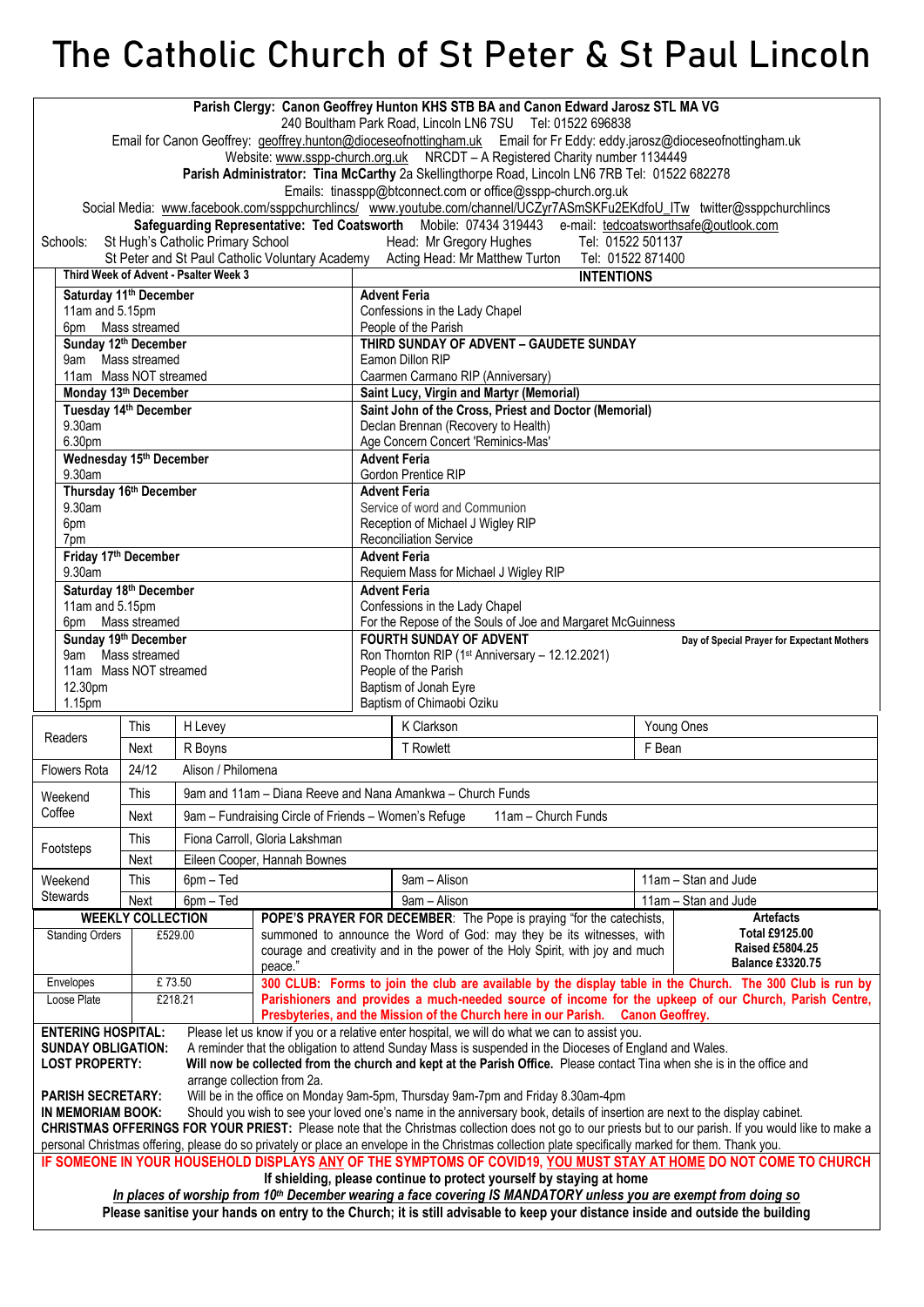## **The Catholic Church of St Peter & St Paul Lincoln**

| Parish Clergy: Canon Geoffrey Hunton KHS STB BA and Canon Edward Jarosz STL MA VG<br>240 Boultham Park Road, Lincoln LN6 7SU Tel: 01522 696838<br>Email for Canon Geoffrey: geoffrey.hunton@dioceseofnottingham.uk Email for Fr Eddy: eddy.jarosz@dioceseofnottingham.uk<br>Website: www.sspp-church.org.uk NRCDT - A Registered Charity number 1134449<br>Parish Administrator: Tina McCarthy 2a Skellingthorpe Road, Lincoln LN6 7RB Tel: 01522 682278 |                       |                                             |                                                      |                                                                                                                                    |                                                                                                                                              |                                                                                                                                                                                           |  |                                          |  |
|----------------------------------------------------------------------------------------------------------------------------------------------------------------------------------------------------------------------------------------------------------------------------------------------------------------------------------------------------------------------------------------------------------------------------------------------------------|-----------------------|---------------------------------------------|------------------------------------------------------|------------------------------------------------------------------------------------------------------------------------------------|----------------------------------------------------------------------------------------------------------------------------------------------|-------------------------------------------------------------------------------------------------------------------------------------------------------------------------------------------|--|------------------------------------------|--|
| Emails: tinasspp@btconnect.com or office@sspp-church.org.uk                                                                                                                                                                                                                                                                                                                                                                                              |                       |                                             |                                                      |                                                                                                                                    |                                                                                                                                              |                                                                                                                                                                                           |  |                                          |  |
| Social Media: www.facebook.com/ssppchurchlincs/ www.youtube.com/channel/UCZyr7ASmSKFu2EKdfoU ITw twitter@ssppchurchlincs                                                                                                                                                                                                                                                                                                                                 |                       |                                             |                                                      |                                                                                                                                    |                                                                                                                                              |                                                                                                                                                                                           |  |                                          |  |
| Safeguarding Representative: Ted Coatsworth Mobile: 07434 319443 e-mail: tedcoatsworthsafe@outlook.com<br>St Hugh's Catholic Primary School<br>Tel: 01522 501137<br>Head: Mr Gregory Hughes<br>Schools:                                                                                                                                                                                                                                                  |                       |                                             |                                                      |                                                                                                                                    |                                                                                                                                              |                                                                                                                                                                                           |  |                                          |  |
| St Peter and St Paul Catholic Voluntary Academy Acting Head: Mr Matthew Turton Tel: 01522 871400                                                                                                                                                                                                                                                                                                                                                         |                       |                                             |                                                      |                                                                                                                                    |                                                                                                                                              |                                                                                                                                                                                           |  |                                          |  |
| Third Week of Advent - Psalter Week 3                                                                                                                                                                                                                                                                                                                                                                                                                    |                       |                                             |                                                      |                                                                                                                                    | <b>INTENTIONS</b>                                                                                                                            |                                                                                                                                                                                           |  |                                          |  |
|                                                                                                                                                                                                                                                                                                                                                                                                                                                          | 11am and 5.15pm       | Saturday 11 <sup>th</sup> December          |                                                      |                                                                                                                                    | <b>Advent Feria</b><br>Confessions in the Lady Chapel                                                                                        |                                                                                                                                                                                           |  |                                          |  |
|                                                                                                                                                                                                                                                                                                                                                                                                                                                          | 6pm Mass streamed     |                                             |                                                      |                                                                                                                                    |                                                                                                                                              | People of the Parish                                                                                                                                                                      |  |                                          |  |
| Sunday 12th December                                                                                                                                                                                                                                                                                                                                                                                                                                     |                       |                                             |                                                      |                                                                                                                                    |                                                                                                                                              | THIRD SUNDAY OF ADVENT - GAUDETE SUNDAY                                                                                                                                                   |  |                                          |  |
|                                                                                                                                                                                                                                                                                                                                                                                                                                                          | 9am Mass streamed     |                                             |                                                      |                                                                                                                                    | Eamon Dillon RIP                                                                                                                             |                                                                                                                                                                                           |  |                                          |  |
|                                                                                                                                                                                                                                                                                                                                                                                                                                                          |                       |                                             | 11am Mass NOT streamed<br>Monday 13th December       |                                                                                                                                    |                                                                                                                                              | Caarmen Carmano RIP (Anniversary)<br>Saint Lucy, Virgin and Martyr (Memorial)                                                                                                             |  |                                          |  |
|                                                                                                                                                                                                                                                                                                                                                                                                                                                          | Tuesday 14th December |                                             |                                                      |                                                                                                                                    | Saint John of the Cross, Priest and Doctor (Memorial)                                                                                        |                                                                                                                                                                                           |  |                                          |  |
| 9.30am                                                                                                                                                                                                                                                                                                                                                                                                                                                   |                       |                                             |                                                      |                                                                                                                                    | Declan Brennan (Recovery to Health)                                                                                                          |                                                                                                                                                                                           |  |                                          |  |
|                                                                                                                                                                                                                                                                                                                                                                                                                                                          | 6.30pm                |                                             | Wednesday 15th December                              |                                                                                                                                    |                                                                                                                                              | Age Concern Concert 'Reminics-Mas'<br><b>Advent Feria</b>                                                                                                                                 |  |                                          |  |
|                                                                                                                                                                                                                                                                                                                                                                                                                                                          | 9.30am                |                                             |                                                      |                                                                                                                                    |                                                                                                                                              | Gordon Prentice RIP                                                                                                                                                                       |  |                                          |  |
|                                                                                                                                                                                                                                                                                                                                                                                                                                                          |                       | Thursday 16th December                      |                                                      |                                                                                                                                    | <b>Advent Feria</b>                                                                                                                          |                                                                                                                                                                                           |  |                                          |  |
|                                                                                                                                                                                                                                                                                                                                                                                                                                                          | 9.30am<br>6pm         |                                             |                                                      |                                                                                                                                    | Service of word and Communion<br>Reception of Michael J Wigley RIP                                                                           |                                                                                                                                                                                           |  |                                          |  |
|                                                                                                                                                                                                                                                                                                                                                                                                                                                          | 7pm                   |                                             |                                                      |                                                                                                                                    | <b>Reconciliation Service</b>                                                                                                                |                                                                                                                                                                                           |  |                                          |  |
|                                                                                                                                                                                                                                                                                                                                                                                                                                                          | Friday 17th December  |                                             |                                                      |                                                                                                                                    |                                                                                                                                              | <b>Advent Feria</b>                                                                                                                                                                       |  |                                          |  |
|                                                                                                                                                                                                                                                                                                                                                                                                                                                          | 9.30am                |                                             |                                                      |                                                                                                                                    | Requiem Mass for Michael J Wigley RIP<br><b>Advent Feria</b>                                                                                 |                                                                                                                                                                                           |  |                                          |  |
|                                                                                                                                                                                                                                                                                                                                                                                                                                                          | 11am and 5.15pm       | Saturday 18th December                      |                                                      |                                                                                                                                    | Confessions in the Lady Chapel                                                                                                               |                                                                                                                                                                                           |  |                                          |  |
|                                                                                                                                                                                                                                                                                                                                                                                                                                                          |                       | 6pm Mass streamed                           |                                                      |                                                                                                                                    | For the Repose of the Souls of Joe and Margaret McGuinness                                                                                   |                                                                                                                                                                                           |  |                                          |  |
|                                                                                                                                                                                                                                                                                                                                                                                                                                                          |                       | Sunday 19th December                        |                                                      |                                                                                                                                    | <b>FOURTH SUNDAY OF ADVENT</b><br>Day of Special Prayer for Expectant Mothers<br>Ron Thornton RIP (1 <sup>st</sup> Anniversary - 12.12.2021) |                                                                                                                                                                                           |  |                                          |  |
|                                                                                                                                                                                                                                                                                                                                                                                                                                                          |                       | 9am Mass streamed<br>11am Mass NOT streamed |                                                      |                                                                                                                                    | People of the Parish                                                                                                                         |                                                                                                                                                                                           |  |                                          |  |
|                                                                                                                                                                                                                                                                                                                                                                                                                                                          | 12.30pm               |                                             |                                                      |                                                                                                                                    | Baptism of Jonah Eyre                                                                                                                        |                                                                                                                                                                                           |  |                                          |  |
|                                                                                                                                                                                                                                                                                                                                                                                                                                                          | 1.15 <sub>pm</sub>    |                                             |                                                      |                                                                                                                                    | Baptism of Chimaobi Oziku                                                                                                                    |                                                                                                                                                                                           |  |                                          |  |
| Readers                                                                                                                                                                                                                                                                                                                                                                                                                                                  |                       | This                                        | H Levey                                              |                                                                                                                                    |                                                                                                                                              | K Clarkson                                                                                                                                                                                |  | Young Ones                               |  |
|                                                                                                                                                                                                                                                                                                                                                                                                                                                          |                       | Next                                        | R Boyns                                              |                                                                                                                                    | <b>T</b> Rowlett<br>F Bean                                                                                                                   |                                                                                                                                                                                           |  |                                          |  |
| Flowers Rota                                                                                                                                                                                                                                                                                                                                                                                                                                             |                       | 24/12                                       | Alison / Philomena                                   |                                                                                                                                    |                                                                                                                                              |                                                                                                                                                                                           |  |                                          |  |
| Weekend<br>Coffee                                                                                                                                                                                                                                                                                                                                                                                                                                        |                       | This                                        |                                                      |                                                                                                                                    |                                                                                                                                              | 9am and 11am - Diana Reeve and Nana Amankwa - Church Funds                                                                                                                                |  |                                          |  |
|                                                                                                                                                                                                                                                                                                                                                                                                                                                          |                       | Next                                        | 9am - Fundraising Circle of Friends - Women's Refuge |                                                                                                                                    |                                                                                                                                              | 11am - Church Funds                                                                                                                                                                       |  |                                          |  |
| Footsteps                                                                                                                                                                                                                                                                                                                                                                                                                                                |                       | This                                        | Fiona Carroll, Gloria Lakshman                       |                                                                                                                                    |                                                                                                                                              |                                                                                                                                                                                           |  |                                          |  |
|                                                                                                                                                                                                                                                                                                                                                                                                                                                          |                       | Next                                        | Eileen Cooper, Hannah Bownes                         |                                                                                                                                    |                                                                                                                                              |                                                                                                                                                                                           |  |                                          |  |
| Weekend                                                                                                                                                                                                                                                                                                                                                                                                                                                  |                       | This                                        | 6pm - Ted                                            |                                                                                                                                    |                                                                                                                                              | 9am - Alison                                                                                                                                                                              |  | 11am - Stan and Jude                     |  |
| <b>Stewards</b>                                                                                                                                                                                                                                                                                                                                                                                                                                          |                       | Next                                        | 6pm - Ted<br><b>WEEKLY COLLECTION</b>                |                                                                                                                                    | 9am - Alison<br>POPE'S PRAYER FOR DECEMBER: The Pope is praying "for the catechists,                                                         |                                                                                                                                                                                           |  | 11am - Stan and Jude<br><b>Artefacts</b> |  |
| <b>Standing Orders</b>                                                                                                                                                                                                                                                                                                                                                                                                                                   |                       |                                             | £529.00                                              |                                                                                                                                    |                                                                                                                                              | summoned to announce the Word of God: may they be its witnesses, with                                                                                                                     |  | Total £9125.00                           |  |
| Envelopes                                                                                                                                                                                                                                                                                                                                                                                                                                                |                       |                                             |                                                      | <b>Raised £5804.25</b><br>courage and creativity and in the power of the Holy Spirit, with joy and much<br><b>Balance £3320.75</b> |                                                                                                                                              |                                                                                                                                                                                           |  |                                          |  |
|                                                                                                                                                                                                                                                                                                                                                                                                                                                          |                       | £73.50                                      |                                                      | peace."<br>300 CLUB: Forms to join the club are available by the display table in the Church. The 300 Club is run by               |                                                                                                                                              |                                                                                                                                                                                           |  |                                          |  |
| Loose Plate                                                                                                                                                                                                                                                                                                                                                                                                                                              |                       | £218.21                                     |                                                      | Parishioners and provides a much-needed source of income for the upkeep of our Church, Parish Centre,                              |                                                                                                                                              |                                                                                                                                                                                           |  |                                          |  |
| Presbyteries, and the Mission of the Church here in our Parish. Canon Geoffrey.                                                                                                                                                                                                                                                                                                                                                                          |                       |                                             |                                                      |                                                                                                                                    |                                                                                                                                              |                                                                                                                                                                                           |  |                                          |  |
| <b>ENTERING HOSPITAL:</b><br>Please let us know if you or a relative enter hospital, we will do what we can to assist you.<br>A reminder that the obligation to attend Sunday Mass is suspended in the Dioceses of England and Wales.<br><b>SUNDAY OBLIGATION:</b>                                                                                                                                                                                       |                       |                                             |                                                      |                                                                                                                                    |                                                                                                                                              |                                                                                                                                                                                           |  |                                          |  |
| <b>LOST PROPERTY:</b><br>Will now be collected from the church and kept at the Parish Office. Please contact Tina when she is in the office and                                                                                                                                                                                                                                                                                                          |                       |                                             |                                                      |                                                                                                                                    |                                                                                                                                              |                                                                                                                                                                                           |  |                                          |  |
| arrange collection from 2a.                                                                                                                                                                                                                                                                                                                                                                                                                              |                       |                                             |                                                      |                                                                                                                                    |                                                                                                                                              |                                                                                                                                                                                           |  |                                          |  |
| <b>PARISH SECRETARY:</b><br>Will be in the office on Monday 9am-5pm, Thursday 9am-7pm and Friday 8.30am-4pm<br>IN MEMORIAM BOOK:<br>Should you wish to see your loved one's name in the anniversary book, details of insertion are next to the display cabinet.                                                                                                                                                                                          |                       |                                             |                                                      |                                                                                                                                    |                                                                                                                                              |                                                                                                                                                                                           |  |                                          |  |
| CHRISTMAS OFFERINGS FOR YOUR PRIEST: Please note that the Christmas collection does not go to our priests but to our parish. If you would like to make a                                                                                                                                                                                                                                                                                                 |                       |                                             |                                                      |                                                                                                                                    |                                                                                                                                              |                                                                                                                                                                                           |  |                                          |  |
|                                                                                                                                                                                                                                                                                                                                                                                                                                                          |                       |                                             |                                                      |                                                                                                                                    |                                                                                                                                              | personal Christmas offering, please do so privately or place an envelope in the Christmas collection plate specifically marked for them. Thank you.                                       |  |                                          |  |
|                                                                                                                                                                                                                                                                                                                                                                                                                                                          |                       |                                             |                                                      |                                                                                                                                    |                                                                                                                                              | IF SOMEONE IN YOUR HOUSEHOLD DISPLAYS ANY OF THE SYMPTOMS OF COVID19, YOU MUST STAY AT HOME DO NOT COME TO CHURCH<br>If shielding, please continue to protect yourself by staying at home |  |                                          |  |
| In places of worship from 10 <sup>th</sup> December wearing a face covering IS MANDATORY unless you are exempt from doing so                                                                                                                                                                                                                                                                                                                             |                       |                                             |                                                      |                                                                                                                                    |                                                                                                                                              |                                                                                                                                                                                           |  |                                          |  |
| Please sanitise your hands on entry to the Church; it is still advisable to keep your distance inside and outside the building                                                                                                                                                                                                                                                                                                                           |                       |                                             |                                                      |                                                                                                                                    |                                                                                                                                              |                                                                                                                                                                                           |  |                                          |  |